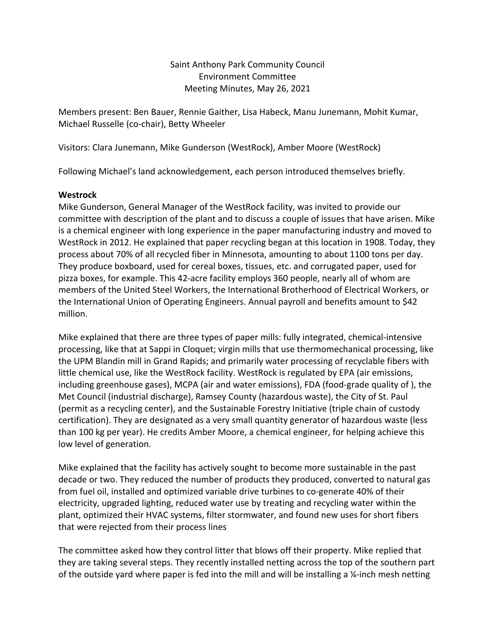Saint Anthony Park Community Council Environment Committee Meeting Minutes, May 26, 2021

Members present: Ben Bauer, Rennie Gaither, Lisa Habeck, Manu Junemann, Mohit Kumar, Michael Russelle (co-chair), Betty Wheeler

Visitors: Clara Junemann, Mike Gunderson (WestRock), Amber Moore (WestRock)

Following Michael's land acknowledgement, each person introduced themselves briefly.

# **Westrock**

Mike Gunderson, General Manager of the WestRock facility, was invited to provide our committee with description of the plant and to discuss a couple of issues that have arisen. Mike is a chemical engineer with long experience in the paper manufacturing industry and moved to WestRock in 2012. He explained that paper recycling began at this location in 1908. Today, they process about 70% of all recycled fiber in Minnesota, amounting to about 1100 tons per day. They produce boxboard, used for cereal boxes, tissues, etc. and corrugated paper, used for pizza boxes, for example. This 42-acre facility employs 360 people, nearly all of whom are members of the United Steel Workers, the International Brotherhood of Electrical Workers, or the International Union of Operating Engineers. Annual payroll and benefits amount to \$42 million.

Mike explained that there are three types of paper mills: fully integrated, chemical-intensive processing, like that at Sappi in Cloquet; virgin mills that use thermomechanical processing, like the UPM Blandin mill in Grand Rapids; and primarily water processing of recyclable fibers with little chemical use, like the WestRock facility. WestRock is regulated by EPA (air emissions, including greenhouse gases), MCPA (air and water emissions), FDA (food-grade quality of ), the Met Council (industrial discharge), Ramsey County (hazardous waste), the City of St. Paul (permit as a recycling center), and the Sustainable Forestry Initiative (triple chain of custody certification). They are designated as a very small quantity generator of hazardous waste (less than 100 kg per year). He credits Amber Moore, a chemical engineer, for helping achieve this low level of generation.

Mike explained that the facility has actively sought to become more sustainable in the past decade or two. They reduced the number of products they produced, converted to natural gas from fuel oil, installed and optimized variable drive turbines to co-generate 40% of their electricity, upgraded lighting, reduced water use by treating and recycling water within the plant, optimized their HVAC systems, filter stormwater, and found new uses for short fibers that were rejected from their process lines

The committee asked how they control litter that blows off their property. Mike replied that they are taking several steps. They recently installed netting across the top of the southern part of the outside yard where paper is fed into the mill and will be installing a ¼-inch mesh netting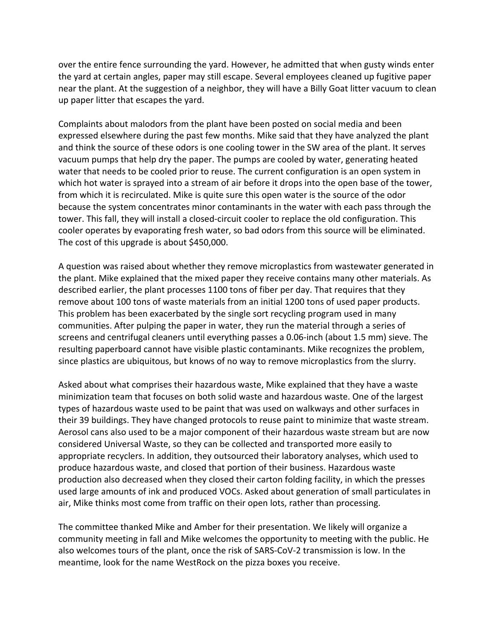over the entire fence surrounding the yard. However, he admitted that when gusty winds enter the yard at certain angles, paper may still escape. Several employees cleaned up fugitive paper near the plant. At the suggestion of a neighbor, they will have a Billy Goat litter vacuum to clean up paper litter that escapes the yard.

Complaints about malodors from the plant have been posted on social media and been expressed elsewhere during the past few months. Mike said that they have analyzed the plant and think the source of these odors is one cooling tower in the SW area of the plant. It serves vacuum pumps that help dry the paper. The pumps are cooled by water, generating heated water that needs to be cooled prior to reuse. The current configuration is an open system in which hot water is sprayed into a stream of air before it drops into the open base of the tower, from which it is recirculated. Mike is quite sure this open water is the source of the odor because the system concentrates minor contaminants in the water with each pass through the tower. This fall, they will install a closed-circuit cooler to replace the old configuration. This cooler operates by evaporating fresh water, so bad odors from this source will be eliminated. The cost of this upgrade is about \$450,000.

A question was raised about whether they remove microplastics from wastewater generated in the plant. Mike explained that the mixed paper they receive contains many other materials. As described earlier, the plant processes 1100 tons of fiber per day. That requires that they remove about 100 tons of waste materials from an initial 1200 tons of used paper products. This problem has been exacerbated by the single sort recycling program used in many communities. After pulping the paper in water, they run the material through a series of screens and centrifugal cleaners until everything passes a 0.06-inch (about 1.5 mm) sieve. The resulting paperboard cannot have visible plastic contaminants. Mike recognizes the problem, since plastics are ubiquitous, but knows of no way to remove microplastics from the slurry.

Asked about what comprises their hazardous waste, Mike explained that they have a waste minimization team that focuses on both solid waste and hazardous waste. One of the largest types of hazardous waste used to be paint that was used on walkways and other surfaces in their 39 buildings. They have changed protocols to reuse paint to minimize that waste stream. Aerosol cans also used to be a major component of their hazardous waste stream but are now considered Universal Waste, so they can be collected and transported more easily to appropriate recyclers. In addition, they outsourced their laboratory analyses, which used to produce hazardous waste, and closed that portion of their business. Hazardous waste production also decreased when they closed their carton folding facility, in which the presses used large amounts of ink and produced VOCs. Asked about generation of small particulates in air, Mike thinks most come from traffic on their open lots, rather than processing.

The committee thanked Mike and Amber for their presentation. We likely will organize a community meeting in fall and Mike welcomes the opportunity to meeting with the public. He also welcomes tours of the plant, once the risk of SARS-CoV-2 transmission is low. In the meantime, look for the name WestRock on the pizza boxes you receive.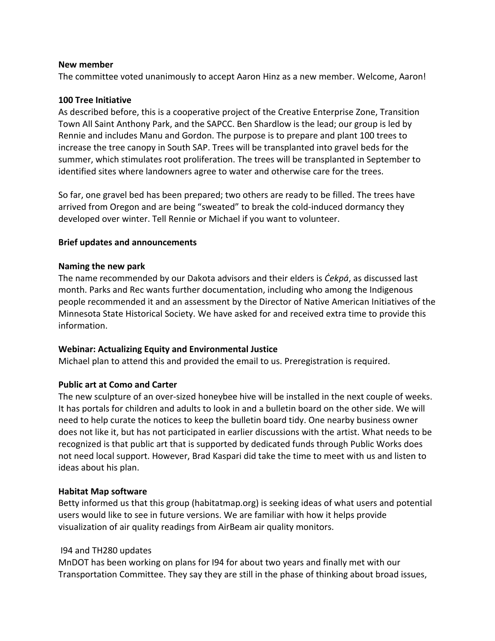## **New member**

The committee voted unanimously to accept Aaron Hinz as a new member. Welcome, Aaron!

# **100 Tree Initiative**

As described before, this is a cooperative project of the Creative Enterprise Zone, Transition Town All Saint Anthony Park, and the SAPCC. Ben Shardlow is the lead; our group is led by Rennie and includes Manu and Gordon. The purpose is to prepare and plant 100 trees to increase the tree canopy in South SAP. Trees will be transplanted into gravel beds for the summer, which stimulates root proliferation. The trees will be transplanted in September to identified sites where landowners agree to water and otherwise care for the trees.

So far, one gravel bed has been prepared; two others are ready to be filled. The trees have arrived from Oregon and are being "sweated" to break the cold-induced dormancy they developed over winter. Tell Rennie or Michael if you want to volunteer.

# **Brief updates and announcements**

# **Naming the new park**

The name recommended by our Dakota advisors and their elders is *Ċekpá*, as discussed last month. Parks and Rec wants further documentation, including who among the Indigenous people recommended it and an assessment by the Director of Native American Initiatives of the Minnesota State Historical Society. We have asked for and received extra time to provide this information.

# **Webinar: Actualizing Equity and Environmental Justice**

Michael plan to attend this and provided the email to us. Preregistration is required.

# **Public art at Como and Carter**

The new sculpture of an over-sized honeybee hive will be installed in the next couple of weeks. It has portals for children and adults to look in and a bulletin board on the other side. We will need to help curate the notices to keep the bulletin board tidy. One nearby business owner does not like it, but has not participated in earlier discussions with the artist. What needs to be recognized is that public art that is supported by dedicated funds through Public Works does not need local support. However, Brad Kaspari did take the time to meet with us and listen to ideas about his plan.

# **Habitat Map software**

Betty informed us that this group (habitatmap.org) is seeking ideas of what users and potential users would like to see in future versions. We are familiar with how it helps provide visualization of air quality readings from AirBeam air quality monitors.

# I94 and TH280 updates

MnDOT has been working on plans for I94 for about two years and finally met with our Transportation Committee. They say they are still in the phase of thinking about broad issues,